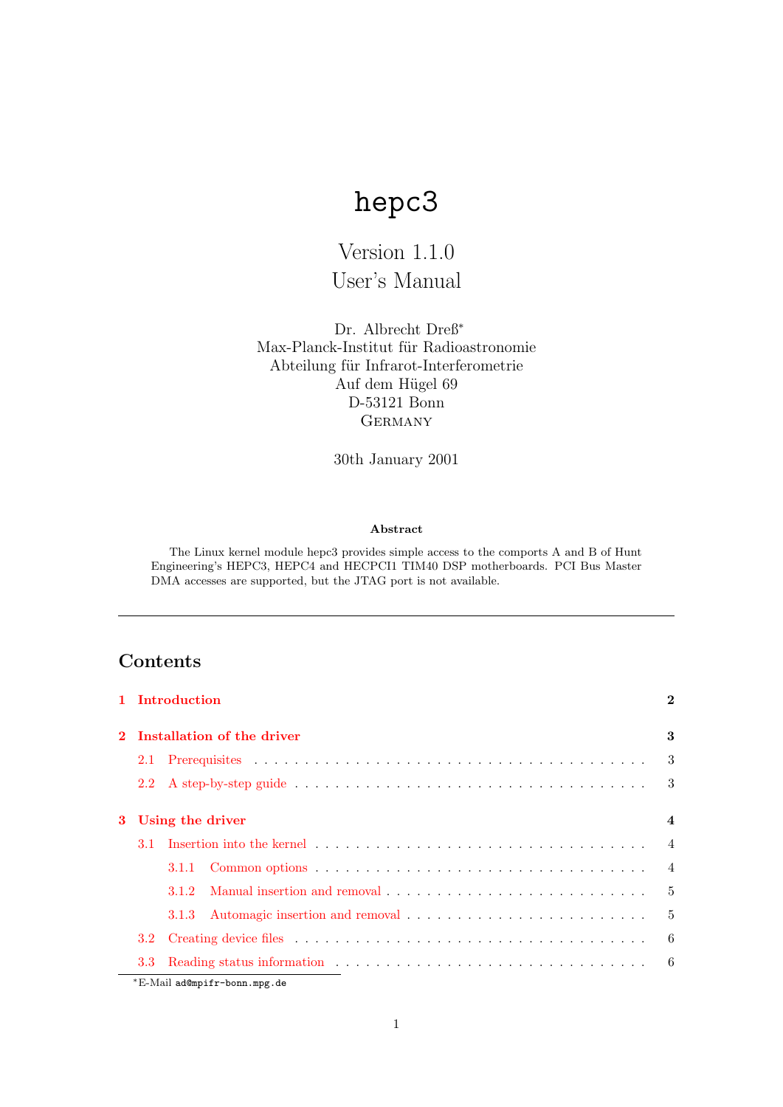# hepc3

## Version 1.1.0 User's Manual

Dr. Albrecht Dreß<sup>∗</sup> Max-Planck-Institut für Radioastronomie Abteilung für Infrarot-Interferometrie Auf dem Hügel 69 D-53121 Bonn **GERMANY** 

30th January 2001

#### Abstract

The Linux kernel module hepc3 provides simple access to the comports A and B of Hunt Engineering's HEPC3, HEPC4 and HECPCI1 TIM40 DSP motherboards. PCI Bus Master DMA accesses are supported, but the JTAG port is not available.

## Contents

|          |                  | 1 Introduction             | $\bf{2}$       |  |
|----------|------------------|----------------------------|----------------|--|
|          |                  | Installation of the driver | 3              |  |
|          | 2.1              |                            | $\mathcal{S}$  |  |
|          |                  |                            | 3              |  |
| $\bf{3}$ | Using the driver |                            |                |  |
|          | 3.1              |                            | $\overline{4}$ |  |
|          |                  |                            | $\overline{4}$ |  |
|          |                  | 3.1.2                      | $-5$           |  |
|          |                  | 3.1.3                      | $\overline{5}$ |  |
|          | 3.2              |                            | 6              |  |
|          | 3.3              |                            | - 6            |  |

<sup>∗</sup>E-Mail ad@mpifr-bonn.mpg.de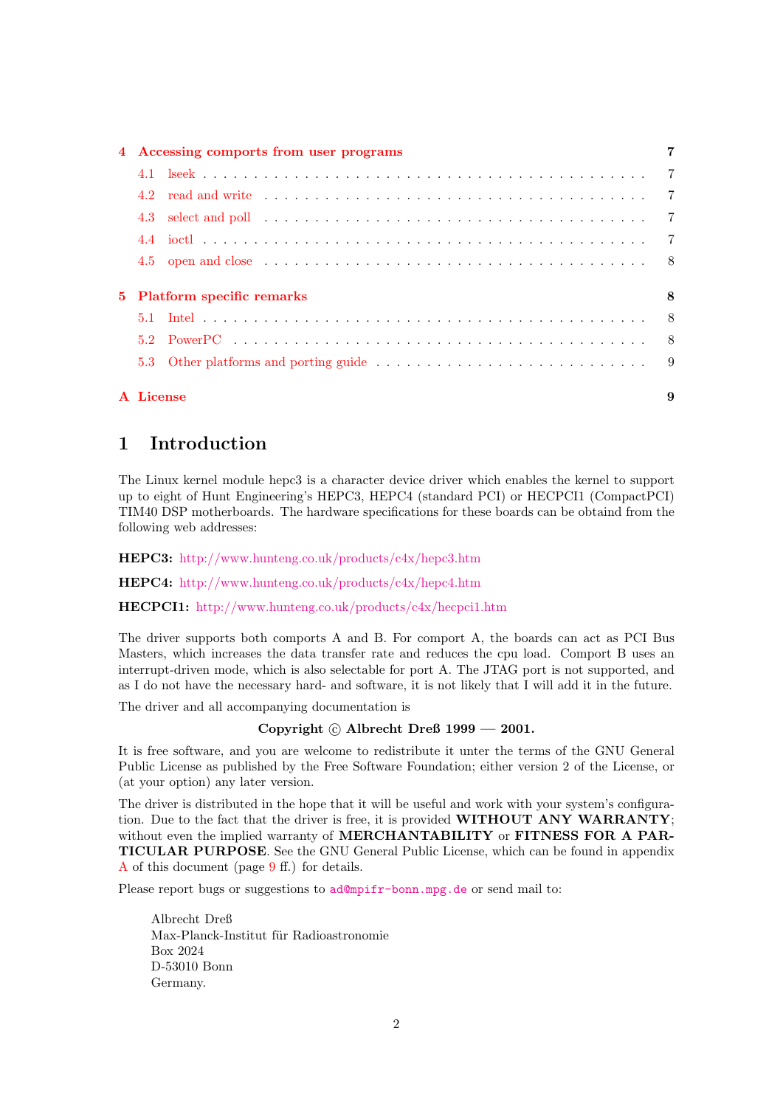| 4 Accessing comports from user programs |                                                                                                                                                                                                                                       |   |  |
|-----------------------------------------|---------------------------------------------------------------------------------------------------------------------------------------------------------------------------------------------------------------------------------------|---|--|
|                                         |                                                                                                                                                                                                                                       |   |  |
|                                         | read and write enterpreteration of the contract of the contract of the contract of the contract of the contract of the contract of the contract of the contract of the contract of the contract of the contract of the contrac<br>4.2 |   |  |
|                                         | 4.3 select and poll in the contract of the contract of the contract of the contract of the contract of the contract of the contract of the contract of the contract of the contract of the contract of the contract of the con        |   |  |
|                                         |                                                                                                                                                                                                                                       |   |  |
|                                         |                                                                                                                                                                                                                                       |   |  |
|                                         | 5 Platform specific remarks                                                                                                                                                                                                           | 8 |  |
|                                         |                                                                                                                                                                                                                                       |   |  |
|                                         |                                                                                                                                                                                                                                       |   |  |
|                                         |                                                                                                                                                                                                                                       |   |  |
|                                         | A License                                                                                                                                                                                                                             | 9 |  |

## <span id="page-1-0"></span>1 Introduction

The Linux kernel module hepc3 is a character device driver which enables the kernel to support up to eight of Hunt Engineering's HEPC3, HEPC4 (standard PCI) or HECPCI1 (CompactPCI) TIM40 DSP motherboards. The hardware specifications for these boards can be obtaind from the following web addresses:

HEPC3: <http://www.hunteng.co.uk/products/c4x/hepc3.htm>

HEPC4: <http://www.hunteng.co.uk/products/c4x/hepc4.htm>

HECPCI1: <http://www.hunteng.co.uk/products/c4x/hecpci1.htm>

The driver supports both comports A and B. For comport A, the boards can act as PCI Bus Masters, which increases the data transfer rate and reduces the cpu load. Comport B uses an interrupt-driven mode, which is also selectable for port A. The JTAG port is not supported, and as I do not have the necessary hard- and software, it is not likely that I will add it in the future.

The driver and all accompanying documentation is

#### Copyright  $\odot$  Albrecht Dreß 1999 — 2001.

It is free software, and you are welcome to redistribute it unter the terms of the GNU General Public License as published by the Free Software Foundation; either version 2 of the License, or (at your option) any later version.

The driver is distributed in the hope that it will be useful and work with your system's configuration. Due to the fact that the driver is free, it is provided WITHOUT ANY WARRANTY; without even the implied warranty of MERCHANTABILITY or FITNESS FOR A PAR-TICULAR PURPOSE. See the GNU General Public License, which can be found in appendix [A](#page-8-1) of this document (page [9](#page-8-2) ff.) for details.

Please report bugs or suggestions to [ad@mpifr-bonn.mpg.de](mailto:ad@mpifr-bonn.mpg.de) or send mail to:

Albrecht Dreß Max-Planck-Institut für Radioastronomie Box 2024 D-53010 Bonn Germany.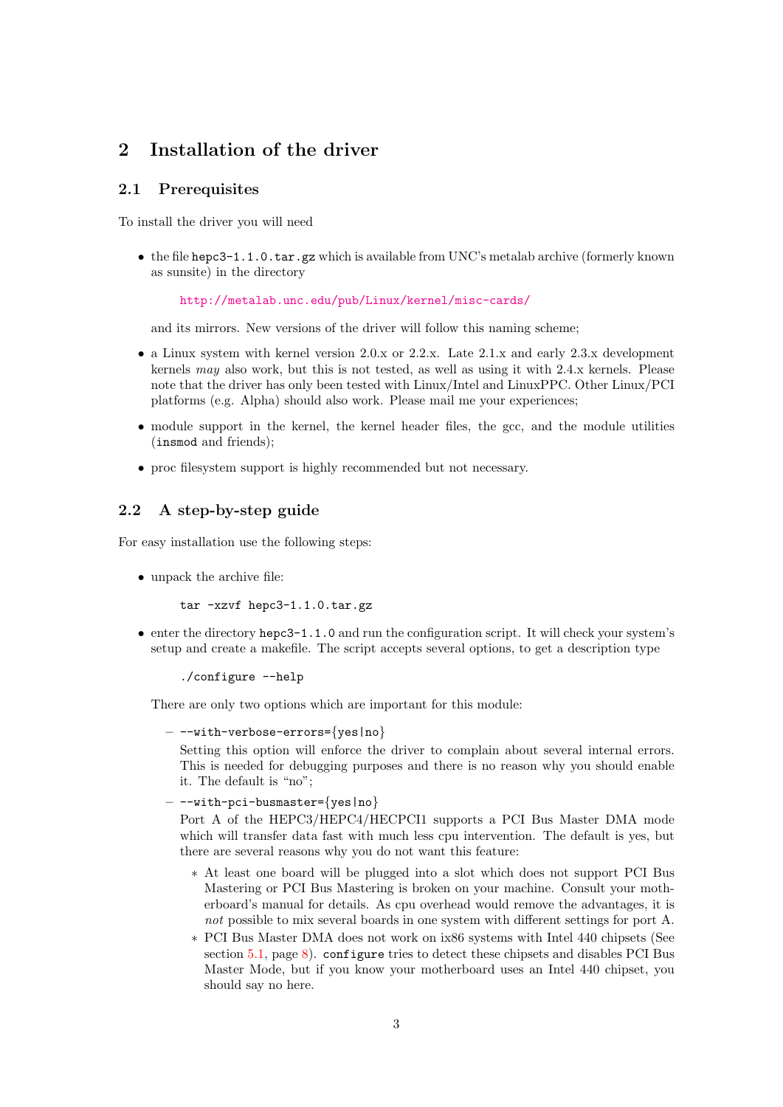## <span id="page-2-3"></span><span id="page-2-0"></span>2 Installation of the driver

#### <span id="page-2-1"></span>2.1 Prerequisites

To install the driver you will need

• the file hepc3-1.1.0.tar.gz which is available from UNC's metalab archive (formerly known as sunsite) in the directory

<http://metalab.unc.edu/pub/Linux/kernel/misc-cards/>

and its mirrors. New versions of the driver will follow this naming scheme;

- a Linux system with kernel version 2.0.x or 2.2.x. Late 2.1.x and early 2.3.x development kernels may also work, but this is not tested, as well as using it with 2.4.x kernels. Please note that the driver has only been tested with Linux/Intel and LinuxPPC. Other Linux/PCI platforms (e.g. Alpha) should also work. Please mail me your experiences;
- module support in the kernel, the kernel header files, the gcc, and the module utilities (insmod and friends);
- proc filesystem support is highly recommended but not necessary.

### <span id="page-2-2"></span>2.2 A step-by-step guide

For easy installation use the following steps:

• unpack the archive file:

tar -xzvf hepc3-1.1.0.tar.gz

• enter the directory hepc3-1.1.0 and run the configuration script. It will check your system's setup and create a makefile. The script accepts several options, to get a description type

./configure --help

There are only two options which are important for this module:

```
- --with-verbose-errors={yes|no}
```
Setting this option will enforce the driver to complain about several internal errors. This is needed for debugging purposes and there is no reason why you should enable it. The default is "no";

 $-$  --with-pci-busmaster={yes|no}

Port A of the HEPC3/HEPC4/HECPCI1 supports a PCI Bus Master DMA mode which will transfer data fast with much less cpu intervention. The default is yes, but there are several reasons why you do not want this feature:

- ∗ At least one board will be plugged into a slot which does not support PCI Bus Mastering or PCI Bus Mastering is broken on your machine. Consult your motherboard's manual for details. As cpu overhead would remove the advantages, it is not possible to mix several boards in one system with different settings for port A.
- ∗ PCI Bus Master DMA does not work on ix86 systems with Intel 440 chipsets (See section [5.1,](#page-7-2) page [8](#page-7-4)). configure tries to detect these chipsets and disables PCI Bus Master Mode, but if you know your motherboard uses an Intel 440 chipset, you should say no here.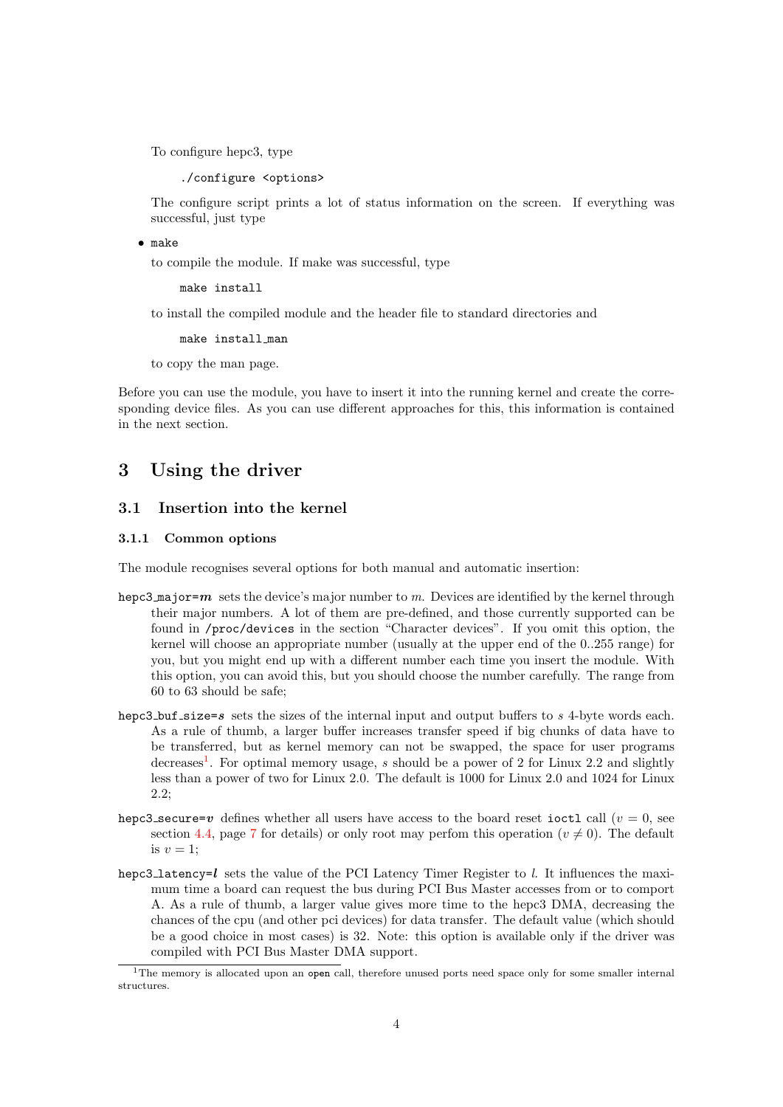<span id="page-3-4"></span>To configure hepc3, type

./configure <options>

The configure script prints a lot of status information on the screen. If everything was successful, just type

• make

to compile the module. If make was successful, type

make install

to install the compiled module and the header file to standard directories and

make install man

to copy the man page.

Before you can use the module, you have to insert it into the running kernel and create the corresponding device files. As you can use different approaches for this, this information is contained in the next section.

## <span id="page-3-0"></span>3 Using the driver

#### <span id="page-3-1"></span>3.1 Insertion into the kernel

#### <span id="page-3-2"></span>3.1.1 Common options

The module recognises several options for both manual and automatic insertion:

- hepc3 major=m sets the device's major number to m. Devices are identified by the kernel through their major numbers. A lot of them are pre-defined, and those currently supported can be found in /proc/devices in the section "Character devices". If you omit this option, the kernel will choose an appropriate number (usually at the upper end of the 0..255 range) for you, but you might end up with a different number each time you insert the module. With this option, you can avoid this, but you should choose the number carefully. The range from 60 to 63 should be safe;
- hepc3 buf size=s sets the sizes of the internal input and output buffers to  $s$  4-byte words each. As a rule of thumb, a larger buffer increases transfer speed if big chunks of data have to be transferred, but as kernel memory can not be swapped, the space for user programs decreases<sup>[1](#page-3-3)</sup>. For optimal memory usage, s should be a power of 2 for Linux 2.2 and slightly less than a power of two for Linux 2.0. The default is 1000 for Linux 2.0 and 1024 for Linux 2.2;
- hepc3 secure=v defines whether all users have access to the board reset ioctl call  $(v = 0, \text{ see})$ section [4.4,](#page-6-4) page [7](#page-6-5) for details) or only root may perfom this operation  $(v \neq 0)$ . The default is  $v = 1$ ;
- hepc3\_latency=l sets the value of the PCI Latency Timer Register to l. It influences the maximum time a board can request the bus during PCI Bus Master accesses from or to comport A. As a rule of thumb, a larger value gives more time to the hepc3 DMA, decreasing the chances of the cpu (and other pci devices) for data transfer. The default value (which should be a good choice in most cases) is 32. Note: this option is available only if the driver was compiled with PCI Bus Master DMA support.

<span id="page-3-3"></span><sup>&</sup>lt;sup>1</sup>The memory is allocated upon an open call, therefore unused ports need space only for some smaller internal structures.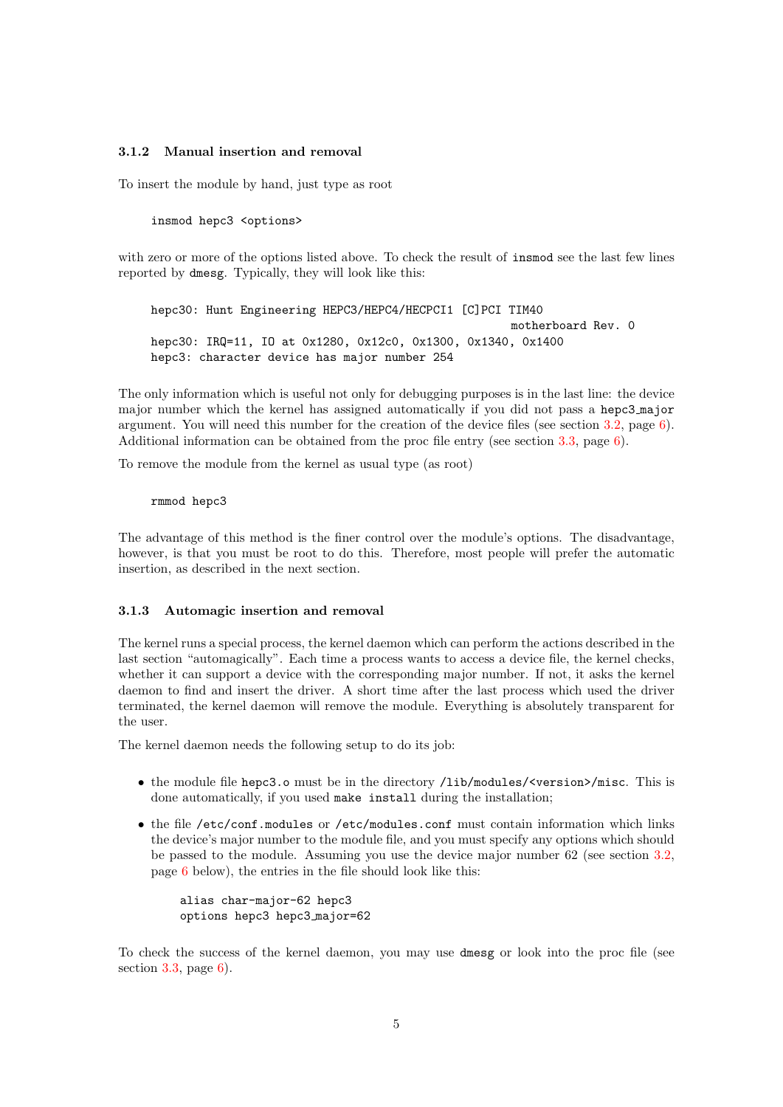#### <span id="page-4-0"></span>3.1.2 Manual insertion and removal

To insert the module by hand, just type as root

insmod hepc3 <options>

with zero or more of the options listed above. To check the result of insmod see the last few lines reported by dmesg. Typically, they will look like this:

hepc30: Hunt Engineering HEPC3/HEPC4/HECPCI1 [C]PCI TIM40 motherboard Rev. 0 hepc30: IRQ=11, IQ at 0x1280, 0x12c0, 0x1300, 0x1340, 0x1400 hepc3: character device has major number 254

The only information which is useful not only for debugging purposes is in the last line: the device major number which the kernel has assigned automatically if you did not pass a hepc3 major argument. You will need this number for the creation of the device files (see section [3.2](#page-5-0), page [6](#page-5-2)). Additional information can be obtained from the proc file entry (see section [3.3,](#page-5-1) page [6\)](#page-5-2).

To remove the module from the kernel as usual type (as root)

#### rmmod hepc3

The advantage of this method is the finer control over the module's options. The disadvantage, however, is that you must be root to do this. Therefore, most people will prefer the automatic insertion, as described in the next section.

#### <span id="page-4-1"></span>3.1.3 Automagic insertion and removal

The kernel runs a special process, the kernel daemon which can perform the actions described in the last section "automagically". Each time a process wants to access a device file, the kernel checks, whether it can support a device with the corresponding major number. If not, it asks the kernel daemon to find and insert the driver. A short time after the last process which used the driver terminated, the kernel daemon will remove the module. Everything is absolutely transparent for the user.

The kernel daemon needs the following setup to do its job:

- the module file hepc3.o must be in the directory /lib/modules/<version>/misc. This is done automatically, if you used make install during the installation;
- the file /etc/conf.modules or /etc/modules.conf must contain information which links the device's major number to the module file, and you must specify any options which should be passed to the module. Assuming you use the device major number 62 (see section [3.2](#page-5-0), page [6](#page-5-2) below), the entries in the file should look like this:

```
alias char-major-62 hepc3
options hepc3 hepc3 major=62
```
To check the success of the kernel daemon, you may use dmesg or look into the proc file (see section  $3.3$ , page  $6$ ).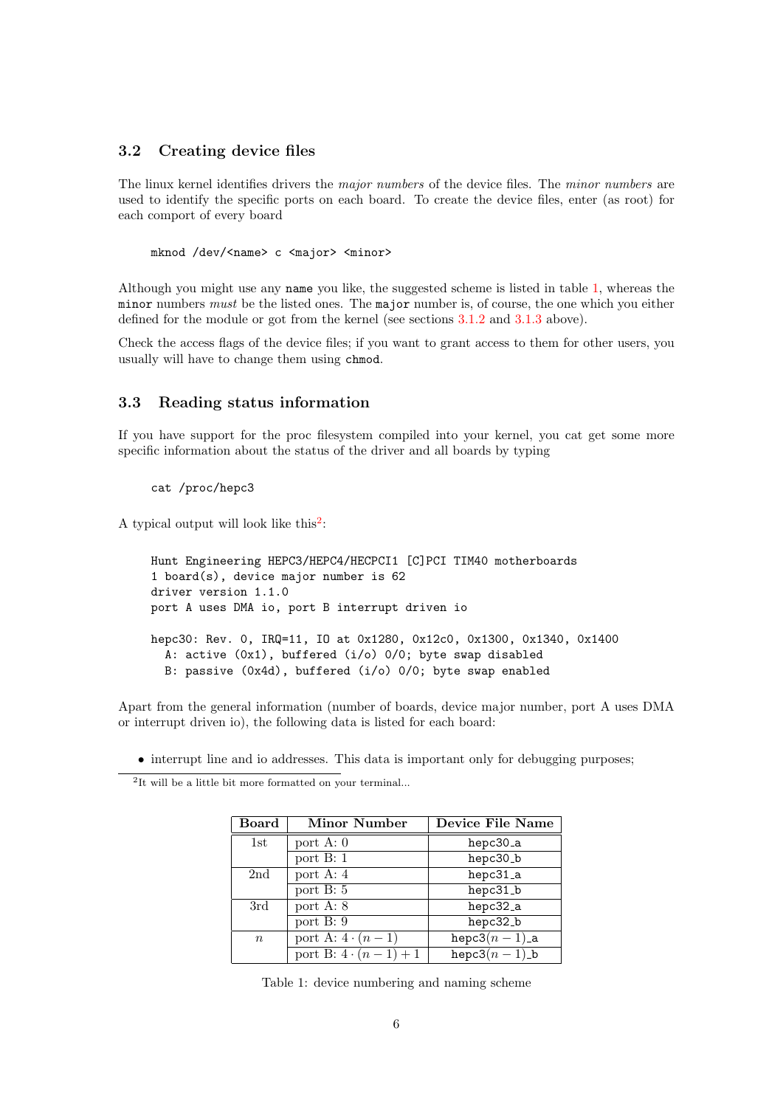#### <span id="page-5-2"></span><span id="page-5-0"></span>3.2 Creating device files

The linux kernel identifies drivers the *major numbers* of the device files. The *minor numbers* are used to identify the specific ports on each board. To create the device files, enter (as root) for each comport of every board

mknod /dev/<name> c <major> <minor>

Although you might use any name you like, the suggested scheme is listed in table [1](#page-5-3), whereas the minor numbers must be the listed ones. The major number is, of course, the one which you either defined for the module or got from the kernel (see sections [3.1.2](#page-4-0) and [3.1.3](#page-4-1) above).

Check the access flags of the device files; if you want to grant access to them for other users, you usually will have to change them using chmod.

#### <span id="page-5-1"></span>3.3 Reading status information

If you have support for the proc filesystem compiled into your kernel, you cat get some more specific information about the status of the driver and all boards by typing

#### cat /proc/hepc3

A typical output will look like this<sup>[2](#page-5-4)</sup>:

```
Hunt Engineering HEPC3/HEPC4/HECPCI1 [C]PCI TIM40 motherboards
1 board(s), device major number is 62
driver version 1.1.0
port A uses DMA io, port B interrupt driven io
hepc30: Rev. 0, IRQ=11, IO at 0x1280, 0x12c0, 0x1300, 0x1340, 0x1400
  A: active (0x1), buffered (i/o) 0/0; byte swap disabled
  B: passive (0x4d), buffered (i/o) 0/0; byte swap enabled
```
Apart from the general information (number of boards, device major number, port A uses DMA or interrupt driven io), the following data is listed for each board:

• interrupt line and io addresses. This data is important only for debugging purposes;

<span id="page-5-4"></span>2 It will be a little bit more formatted on your terminal...

| Board            | <b>Minor Number</b>     | <b>Device File Name</b>     |
|------------------|-------------------------|-----------------------------|
| 1st              | port $\overline{A: 0}$  | hepc30_a                    |
|                  | port $B: 1$             | hepc30_b                    |
| 2nd              | port A: $\overline{4}$  | hepc31_a                    |
|                  | port $\overline{B:5}$   | hepc31_b                    |
| 3rd              | port $A: 8$             | hepc32_a                    |
|                  | port $\overline{B: 9}$  | hepc32_b                    |
| $\boldsymbol{n}$ | port A: $4 \cdot (n-1)$ | hepc3 $(n-1)$ <sub>a</sub>  |
|                  | port B: $4\cdot(n-1)+1$ | hepc3 $(n-1)$ <sub>-b</sub> |

<span id="page-5-3"></span>Table 1: device numbering and naming scheme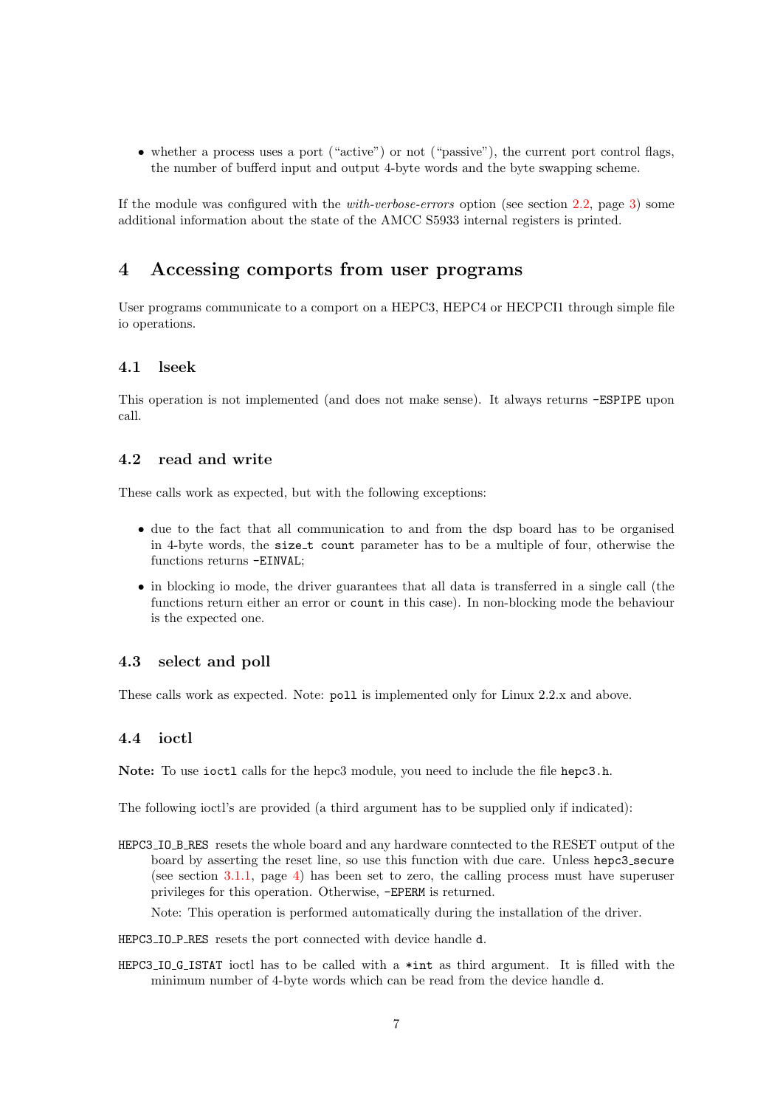<span id="page-6-5"></span>• whether a process uses a port ("active") or not ("passive"), the current port control flags, the number of bufferd input and output 4-byte words and the byte swapping scheme.

If the module was configured with the with-verbose-errors option (see section [2.2](#page-2-2), page [3\)](#page-2-3) some additional information about the state of the AMCC S5933 internal registers is printed.

## <span id="page-6-0"></span>4 Accessing comports from user programs

User programs communicate to a comport on a HEPC3, HEPC4 or HECPCI1 through simple file io operations.

#### <span id="page-6-1"></span>4.1 lseek

This operation is not implemented (and does not make sense). It always returns -ESPIPE upon call.

#### <span id="page-6-2"></span>4.2 read and write

These calls work as expected, but with the following exceptions:

- due to the fact that all communication to and from the dsp board has to be organised in 4-byte words, the size t count parameter has to be a multiple of four, otherwise the functions returns -EINVAL;
- in blocking io mode, the driver guarantees that all data is transferred in a single call (the functions return either an error or count in this case). In non-blocking mode the behaviour is the expected one.

#### <span id="page-6-3"></span>4.3 select and poll

These calls work as expected. Note: poll is implemented only for Linux 2.2.x and above.

#### <span id="page-6-4"></span>4.4 ioctl

Note: To use ioctl calls for the hepc3 module, you need to include the file hepc3.h.

The following ioctl's are provided (a third argument has to be supplied only if indicated):

HEPC3 IO B RES resets the whole board and any hardware conntected to the RESET output of the board by asserting the reset line, so use this function with due care. Unless hepc3 secure (see section [3.1.1,](#page-3-2) page [4\)](#page-3-4) has been set to zero, the calling process must have superuser privileges for this operation. Otherwise, -EPERM is returned.

Note: This operation is performed automatically during the installation of the driver.

- HEPC3\_IO\_P\_RES resets the port connected with device handle d.
- HEPC3 IO G ISTAT ioctl has to be called with a \*int as third argument. It is filled with the minimum number of 4-byte words which can be read from the device handle d.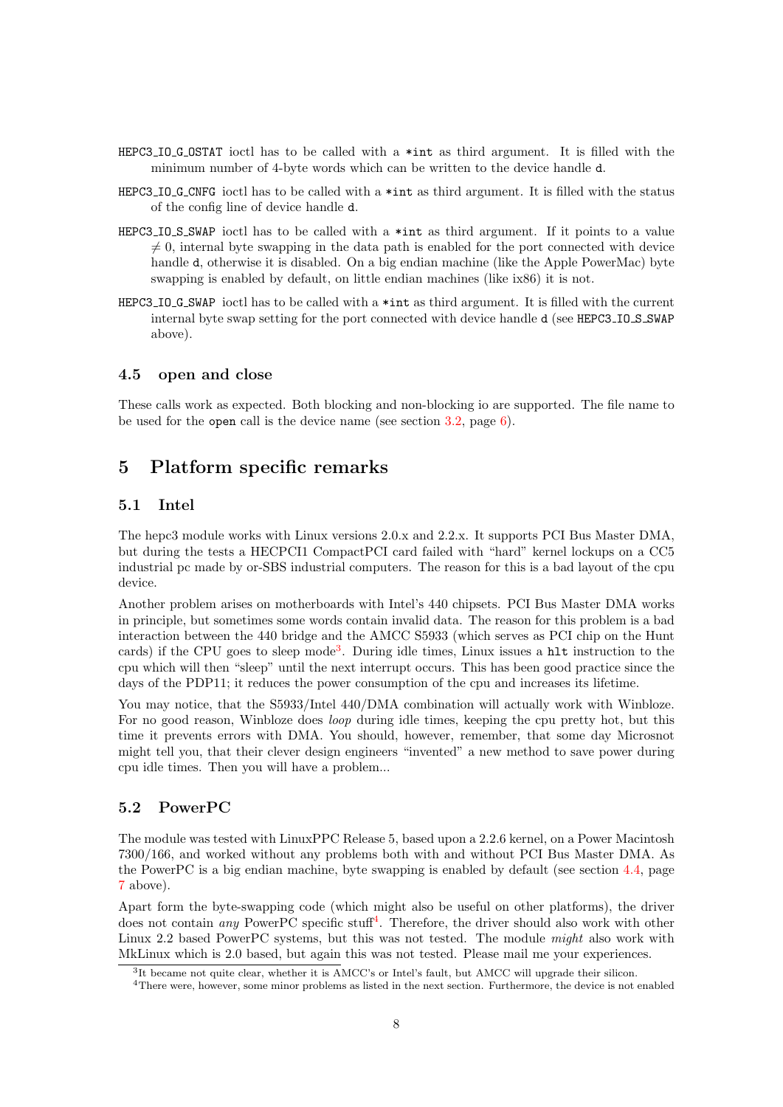- <span id="page-7-4"></span>HEPC3 IO G OSTAT ioctl has to be called with a \*int as third argument. It is filled with the minimum number of 4-byte words which can be written to the device handle d.
- HEPC3 IO G CNFG ioctl has to be called with a \*int as third argument. It is filled with the status of the config line of device handle d.
- HEPC3 IO S SWAP ioctl has to be called with a \*int as third argument. If it points to a value  $\neq 0$ , internal byte swapping in the data path is enabled for the port connected with device handle d, otherwise it is disabled. On a big endian machine (like the Apple PowerMac) byte swapping is enabled by default, on little endian machines (like ix86) it is not.
- HEPC3 IO G SWAP ioctl has to be called with a \*int as third argument. It is filled with the current internal byte swap setting for the port connected with device handle d (see HEPC3\_IO\_S\_SWAP above).

#### <span id="page-7-0"></span>4.5 open and close

These calls work as expected. Both blocking and non-blocking io are supported. The file name to be used for the open call is the device name (see section [3.2](#page-5-0), page [6](#page-5-2)).

## <span id="page-7-1"></span>5 Platform specific remarks

#### <span id="page-7-2"></span>5.1 Intel

The hepc3 module works with Linux versions 2.0.x and 2.2.x. It supports PCI Bus Master DMA, but during the tests a HECPCI1 CompactPCI card failed with "hard" kernel lockups on a CC5 industrial pc made by or-SBS industrial computers. The reason for this is a bad layout of the cpu device.

Another problem arises on motherboards with Intel's 440 chipsets. PCI Bus Master DMA works in principle, but sometimes some words contain invalid data. The reason for this problem is a bad interaction between the 440 bridge and the AMCC S5933 (which serves as PCI chip on the Hunt cards) if the CPU goes to sleep mode<sup>[3](#page-7-5)</sup>. During idle times, Linux issues a hlt instruction to the cpu which will then "sleep" until the next interrupt occurs. This has been good practice since the days of the PDP11; it reduces the power consumption of the cpu and increases its lifetime.

You may notice, that the S5933/Intel 440/DMA combination will actually work with Winbloze. For no good reason, Winbloze does loop during idle times, keeping the cpu pretty hot, but this time it prevents errors with DMA. You should, however, remember, that some day Microsnot might tell you, that their clever design engineers "invented" a new method to save power during cpu idle times. Then you will have a problem...

#### <span id="page-7-3"></span>5.2 PowerPC

The module was tested with LinuxPPC Release 5, based upon a 2.2.6 kernel, on a Power Macintosh 7300/166, and worked without any problems both with and without PCI Bus Master DMA. As the PowerPC is a big endian machine, byte swapping is enabled by default (see section [4.4,](#page-6-4) page [7](#page-6-5) above).

Apart form the byte-swapping code (which might also be useful on other platforms), the driver does not contain *any* PowerPC specific stuff<sup>[4](#page-7-6)</sup>. Therefore, the driver should also work with other Linux 2.2 based PowerPC systems, but this was not tested. The module might also work with MkLinux which is 2.0 based, but again this was not tested. Please mail me your experiences.

<sup>3</sup> It became not quite clear, whether it is AMCC's or Intel's fault, but AMCC will upgrade their silicon.

<span id="page-7-6"></span><span id="page-7-5"></span><sup>4</sup>There were, however, some minor problems as listed in the next section. Furthermore, the device is not enabled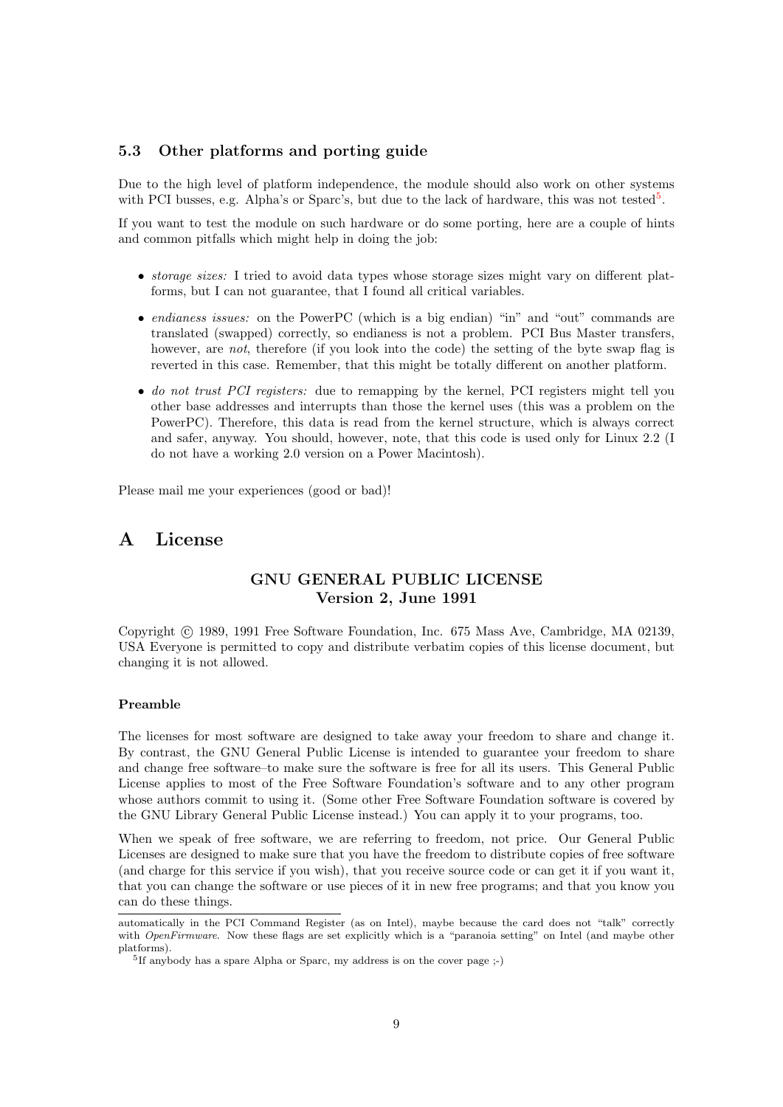#### <span id="page-8-2"></span><span id="page-8-0"></span>5.3 Other platforms and porting guide

Due to the high level of platform independence, the module should also work on other systems with PCI busses, e.g. Alpha's or Sparc's, but due to the lack of hardware, this was not tested<sup>[5](#page-8-3)</sup>.

If you want to test the module on such hardware or do some porting, here are a couple of hints and common pitfalls which might help in doing the job:

- *storage sizes:* I tried to avoid data types whose storage sizes might vary on different platforms, but I can not guarantee, that I found all critical variables.
- endianess issues: on the PowerPC (which is a big endian) "in" and "out" commands are translated (swapped) correctly, so endianess is not a problem. PCI Bus Master transfers, however, are not, therefore (if you look into the code) the setting of the byte swap flag is reverted in this case. Remember, that this might be totally different on another platform.
- do not trust PCI registers: due to remapping by the kernel, PCI registers might tell you other base addresses and interrupts than those the kernel uses (this was a problem on the PowerPC). Therefore, this data is read from the kernel structure, which is always correct and safer, anyway. You should, however, note, that this code is used only for Linux 2.2 (I do not have a working 2.0 version on a Power Macintosh).

Please mail me your experiences (good or bad)!

## <span id="page-8-1"></span>A License

#### GNU GENERAL PUBLIC LICENSE Version 2, June 1991

Copyright © 1989, 1991 Free Software Foundation, Inc. 675 Mass Ave, Cambridge, MA 02139, USA Everyone is permitted to copy and distribute verbatim copies of this license document, but changing it is not allowed.

#### Preamble

The licenses for most software are designed to take away your freedom to share and change it. By contrast, the GNU General Public License is intended to guarantee your freedom to share and change free software–to make sure the software is free for all its users. This General Public License applies to most of the Free Software Foundation's software and to any other program whose authors commit to using it. (Some other Free Software Foundation software is covered by the GNU Library General Public License instead.) You can apply it to your programs, too.

When we speak of free software, we are referring to freedom, not price. Our General Public Licenses are designed to make sure that you have the freedom to distribute copies of free software (and charge for this service if you wish), that you receive source code or can get it if you want it, that you can change the software or use pieces of it in new free programs; and that you know you can do these things.

automatically in the PCI Command Register (as on Intel), maybe because the card does not "talk" correctly with OpenFirmware. Now these flags are set explicitly which is a "paranoia setting" on Intel (and maybe other platforms).

<span id="page-8-3"></span><sup>&</sup>lt;sup>5</sup>If anybody has a spare Alpha or Sparc, my address is on the cover page ;-)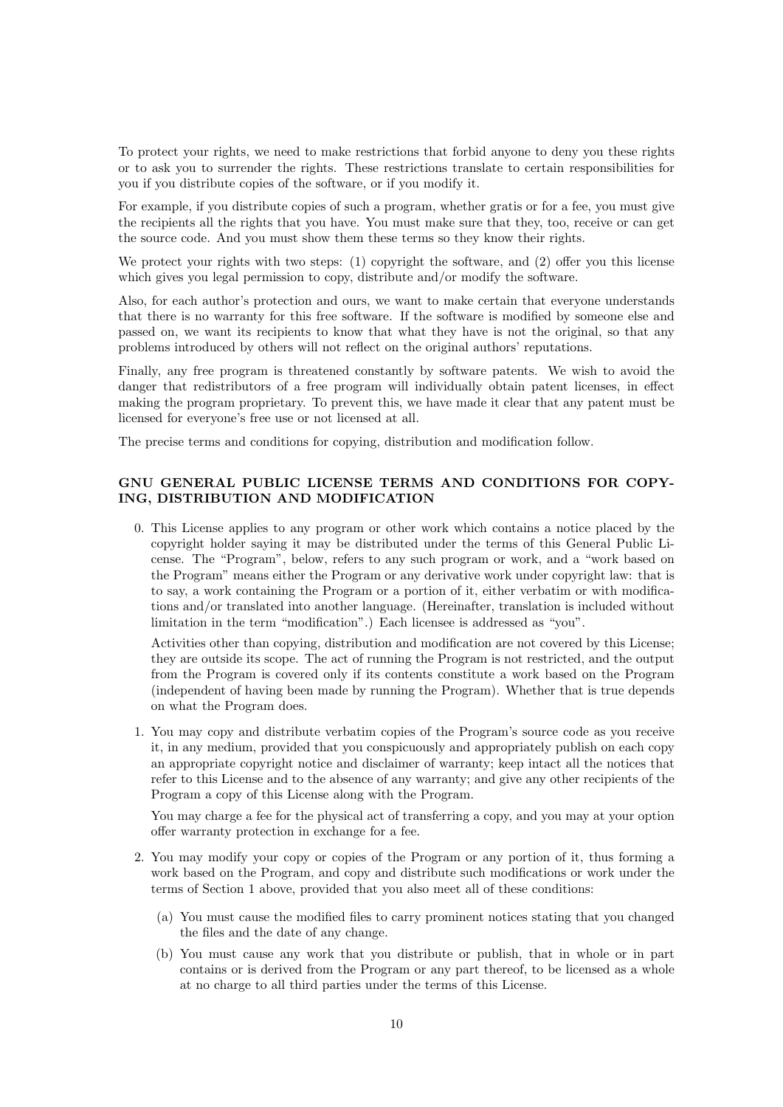To protect your rights, we need to make restrictions that forbid anyone to deny you these rights or to ask you to surrender the rights. These restrictions translate to certain responsibilities for you if you distribute copies of the software, or if you modify it.

For example, if you distribute copies of such a program, whether gratis or for a fee, you must give the recipients all the rights that you have. You must make sure that they, too, receive or can get the source code. And you must show them these terms so they know their rights.

We protect your rights with two steps: (1) copyright the software, and (2) offer you this license which gives you legal permission to copy, distribute and/or modify the software.

Also, for each author's protection and ours, we want to make certain that everyone understands that there is no warranty for this free software. If the software is modified by someone else and passed on, we want its recipients to know that what they have is not the original, so that any problems introduced by others will not reflect on the original authors' reputations.

Finally, any free program is threatened constantly by software patents. We wish to avoid the danger that redistributors of a free program will individually obtain patent licenses, in effect making the program proprietary. To prevent this, we have made it clear that any patent must be licensed for everyone's free use or not licensed at all.

The precise terms and conditions for copying, distribution and modification follow.

#### GNU GENERAL PUBLIC LICENSE TERMS AND CONDITIONS FOR COPY-ING, DISTRIBUTION AND MODIFICATION

0. This License applies to any program or other work which contains a notice placed by the copyright holder saying it may be distributed under the terms of this General Public License. The "Program", below, refers to any such program or work, and a "work based on the Program" means either the Program or any derivative work under copyright law: that is to say, a work containing the Program or a portion of it, either verbatim or with modifications and/or translated into another language. (Hereinafter, translation is included without limitation in the term "modification".) Each licensee is addressed as "you".

Activities other than copying, distribution and modification are not covered by this License; they are outside its scope. The act of running the Program is not restricted, and the output from the Program is covered only if its contents constitute a work based on the Program (independent of having been made by running the Program). Whether that is true depends on what the Program does.

1. You may copy and distribute verbatim copies of the Program's source code as you receive it, in any medium, provided that you conspicuously and appropriately publish on each copy an appropriate copyright notice and disclaimer of warranty; keep intact all the notices that refer to this License and to the absence of any warranty; and give any other recipients of the Program a copy of this License along with the Program.

You may charge a fee for the physical act of transferring a copy, and you may at your option offer warranty protection in exchange for a fee.

- 2. You may modify your copy or copies of the Program or any portion of it, thus forming a work based on the Program, and copy and distribute such modifications or work under the terms of Section 1 above, provided that you also meet all of these conditions:
	- (a) You must cause the modified files to carry prominent notices stating that you changed the files and the date of any change.
	- (b) You must cause any work that you distribute or publish, that in whole or in part contains or is derived from the Program or any part thereof, to be licensed as a whole at no charge to all third parties under the terms of this License.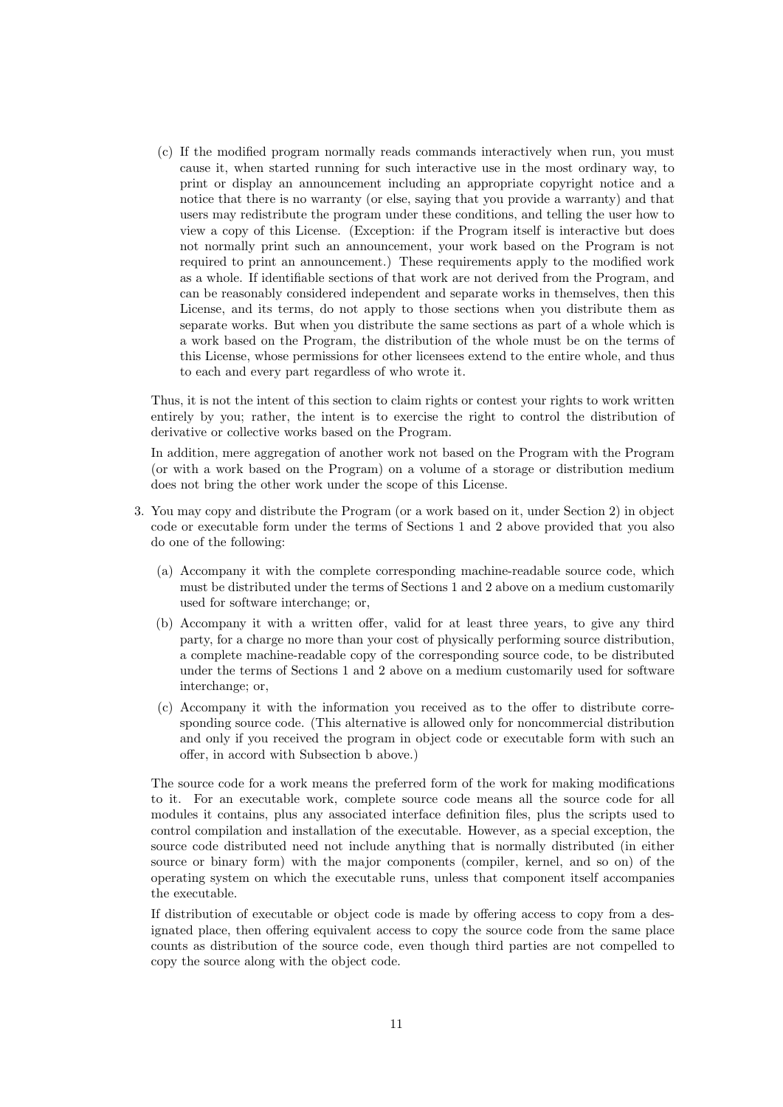(c) If the modified program normally reads commands interactively when run, you must cause it, when started running for such interactive use in the most ordinary way, to print or display an announcement including an appropriate copyright notice and a notice that there is no warranty (or else, saying that you provide a warranty) and that users may redistribute the program under these conditions, and telling the user how to view a copy of this License. (Exception: if the Program itself is interactive but does not normally print such an announcement, your work based on the Program is not required to print an announcement.) These requirements apply to the modified work as a whole. If identifiable sections of that work are not derived from the Program, and can be reasonably considered independent and separate works in themselves, then this License, and its terms, do not apply to those sections when you distribute them as separate works. But when you distribute the same sections as part of a whole which is a work based on the Program, the distribution of the whole must be on the terms of this License, whose permissions for other licensees extend to the entire whole, and thus to each and every part regardless of who wrote it.

Thus, it is not the intent of this section to claim rights or contest your rights to work written entirely by you; rather, the intent is to exercise the right to control the distribution of derivative or collective works based on the Program.

In addition, mere aggregation of another work not based on the Program with the Program (or with a work based on the Program) on a volume of a storage or distribution medium does not bring the other work under the scope of this License.

- 3. You may copy and distribute the Program (or a work based on it, under Section 2) in object code or executable form under the terms of Sections 1 and 2 above provided that you also do one of the following:
	- (a) Accompany it with the complete corresponding machine-readable source code, which must be distributed under the terms of Sections 1 and 2 above on a medium customarily used for software interchange; or,
	- (b) Accompany it with a written offer, valid for at least three years, to give any third party, for a charge no more than your cost of physically performing source distribution, a complete machine-readable copy of the corresponding source code, to be distributed under the terms of Sections 1 and 2 above on a medium customarily used for software interchange; or,
	- (c) Accompany it with the information you received as to the offer to distribute corresponding source code. (This alternative is allowed only for noncommercial distribution and only if you received the program in object code or executable form with such an offer, in accord with Subsection b above.)

The source code for a work means the preferred form of the work for making modifications to it. For an executable work, complete source code means all the source code for all modules it contains, plus any associated interface definition files, plus the scripts used to control compilation and installation of the executable. However, as a special exception, the source code distributed need not include anything that is normally distributed (in either source or binary form) with the major components (compiler, kernel, and so on) of the operating system on which the executable runs, unless that component itself accompanies the executable.

If distribution of executable or object code is made by offering access to copy from a designated place, then offering equivalent access to copy the source code from the same place counts as distribution of the source code, even though third parties are not compelled to copy the source along with the object code.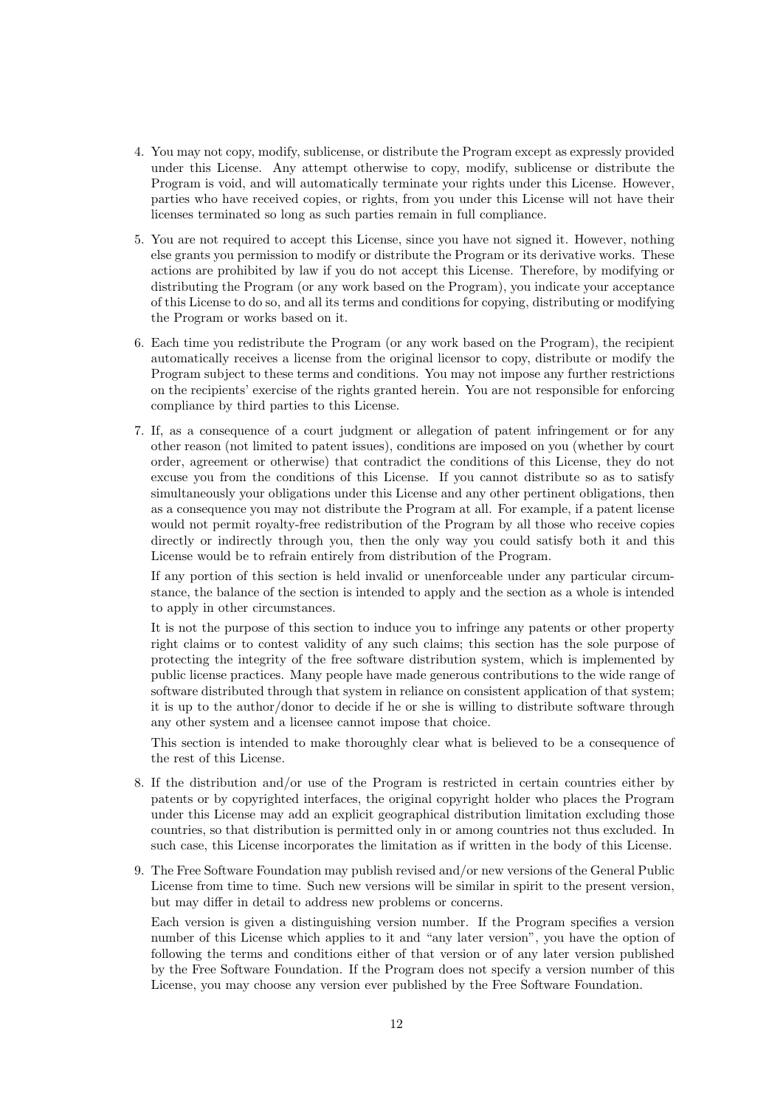- 4. You may not copy, modify, sublicense, or distribute the Program except as expressly provided under this License. Any attempt otherwise to copy, modify, sublicense or distribute the Program is void, and will automatically terminate your rights under this License. However, parties who have received copies, or rights, from you under this License will not have their licenses terminated so long as such parties remain in full compliance.
- 5. You are not required to accept this License, since you have not signed it. However, nothing else grants you permission to modify or distribute the Program or its derivative works. These actions are prohibited by law if you do not accept this License. Therefore, by modifying or distributing the Program (or any work based on the Program), you indicate your acceptance of this License to do so, and all its terms and conditions for copying, distributing or modifying the Program or works based on it.
- 6. Each time you redistribute the Program (or any work based on the Program), the recipient automatically receives a license from the original licensor to copy, distribute or modify the Program subject to these terms and conditions. You may not impose any further restrictions on the recipients' exercise of the rights granted herein. You are not responsible for enforcing compliance by third parties to this License.
- 7. If, as a consequence of a court judgment or allegation of patent infringement or for any other reason (not limited to patent issues), conditions are imposed on you (whether by court order, agreement or otherwise) that contradict the conditions of this License, they do not excuse you from the conditions of this License. If you cannot distribute so as to satisfy simultaneously your obligations under this License and any other pertinent obligations, then as a consequence you may not distribute the Program at all. For example, if a patent license would not permit royalty-free redistribution of the Program by all those who receive copies directly or indirectly through you, then the only way you could satisfy both it and this License would be to refrain entirely from distribution of the Program.

If any portion of this section is held invalid or unenforceable under any particular circumstance, the balance of the section is intended to apply and the section as a whole is intended to apply in other circumstances.

It is not the purpose of this section to induce you to infringe any patents or other property right claims or to contest validity of any such claims; this section has the sole purpose of protecting the integrity of the free software distribution system, which is implemented by public license practices. Many people have made generous contributions to the wide range of software distributed through that system in reliance on consistent application of that system; it is up to the author/donor to decide if he or she is willing to distribute software through any other system and a licensee cannot impose that choice.

This section is intended to make thoroughly clear what is believed to be a consequence of the rest of this License.

- 8. If the distribution and/or use of the Program is restricted in certain countries either by patents or by copyrighted interfaces, the original copyright holder who places the Program under this License may add an explicit geographical distribution limitation excluding those countries, so that distribution is permitted only in or among countries not thus excluded. In such case, this License incorporates the limitation as if written in the body of this License.
- 9. The Free Software Foundation may publish revised and/or new versions of the General Public License from time to time. Such new versions will be similar in spirit to the present version, but may differ in detail to address new problems or concerns.

Each version is given a distinguishing version number. If the Program specifies a version number of this License which applies to it and "any later version", you have the option of following the terms and conditions either of that version or of any later version published by the Free Software Foundation. If the Program does not specify a version number of this License, you may choose any version ever published by the Free Software Foundation.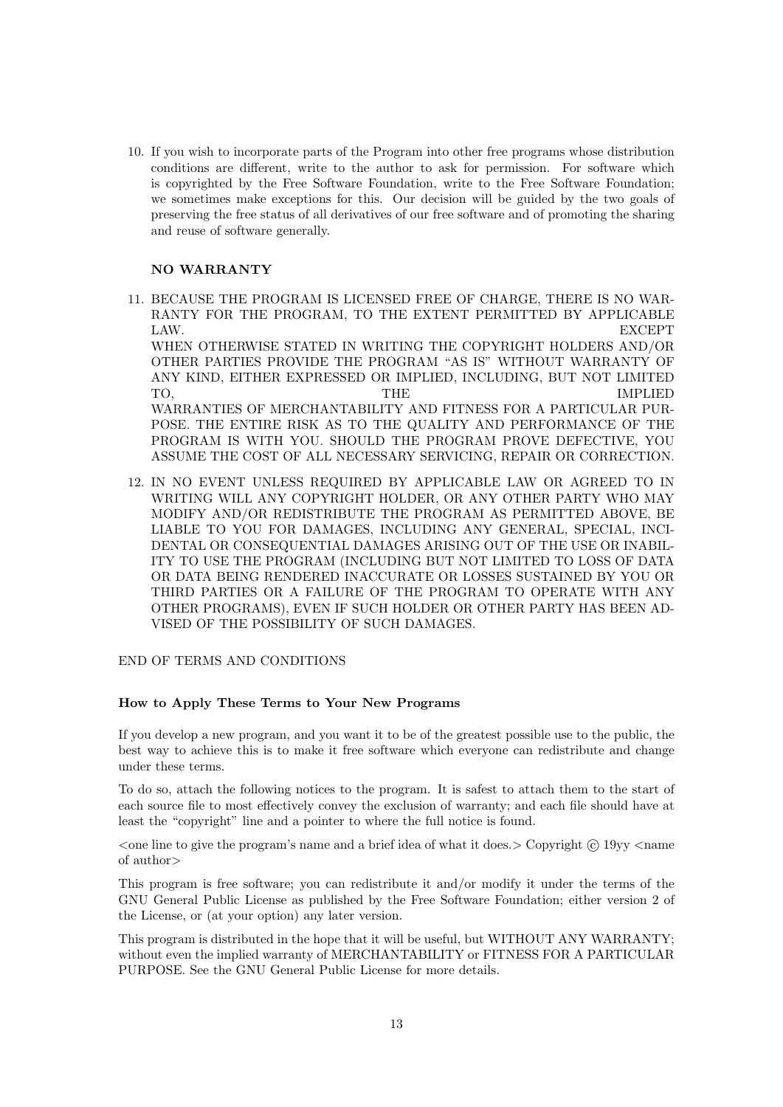10. If you wish to incorporate parts of the Program into other free programs whose distribution conditions are different, write to the author to ask for permission. For software which is copyrighted by the Free Software Foundation, write to the Free Software Foundation; we sometimes make exceptions for this. Our decision will be guided by the two goals of preserving the free status of all derivatives of our free software and of promoting the sharing and reuse of software generally.

#### NO WARRANTY

- 11. BECAUSE THE PROGRAM IS LICENSED FREE OF CHARGE, THERE IS NO WAR-RANTY FOR THE PROGRAM, TO THE EXTENT PERMITTED BY APPLICABLE LAW. EXCEPT WHEN OTHERWISE STATED IN WRITING THE COPYRIGHT HOLDERS AND/OR OTHER PARTIES PROVIDE THE PROGRAM "AS IS" WITHOUT WARRANTY OF ANY KIND, EITHER EXPRESSED OR IMPLIED, INCLUDING, BUT NOT LIMITED TO, THE IMPLIED WARRANTIES OF MERCHANTABILITY AND FITNESS FOR A PARTICULAR PUR-POSE. THE ENTIRE RISK AS TO THE QUALITY AND PERFORMANCE OF THE PROGRAM IS WITH YOU. SHOULD THE PROGRAM PROVE DEFECTIVE, YOU ASSUME THE COST OF ALL NECESSARY SERVICING, REPAIR OR CORRECTION.
- 12. IN NO EVENT UNLESS REQUIRED BY APPLICABLE LAW OR AGREED TO IN WRITING WILL ANY COPYRIGHT HOLDER, OR ANY OTHER PARTY WHO MAY MODIFY AND/OR REDISTRIBUTE THE PROGRAM AS PERMITTED ABOVE, BE LIABLE TO YOU FOR DAMAGES, INCLUDING ANY GENERAL, SPECIAL, INCI-DENTAL OR CONSEQUENTIAL DAMAGES ARISING OUT OF THE USE OR INABIL-ITY TO USE THE PROGRAM (INCLUDING BUT NOT LIMITED TO LOSS OF DATA OR DATA BEING RENDERED INACCURATE OR LOSSES SUSTAINED BY YOU OR THIRD PARTIES OR A FAILURE OF THE PROGRAM TO OPERATE WITH ANY OTHER PROGRAMS), EVEN IF SUCH HOLDER OR OTHER PARTY HAS BEEN AD-VISED OF THE POSSIBILITY OF SUCH DAMAGES.

#### END OF TERMS AND CONDITIONS

#### How to Apply These Terms to Your New Programs

If you develop a new program, and you want it to be of the greatest possible use to the public, the best way to achieve this is to make it free software which everyone can redistribute and change under these terms.

To do so, attach the following notices to the program. It is safest to attach them to the start of each source file to most effectively convey the exclusion of warranty; and each file should have at least the "copyright" line and a pointer to where the full notice is found.

 $\alpha$  is the program's name and a brief idea of what it does.  $\geq$  Copyright (c) 19yy  $\leq$  name of author>

This program is free software; you can redistribute it and/or modify it under the terms of the GNU General Public License as published by the Free Software Foundation; either version 2 of the License, or (at your option) any later version.

This program is distributed in the hope that it will be useful, but WITHOUT ANY WARRANTY; without even the implied warranty of MERCHANTABILITY or FITNESS FOR A PARTICULAR PURPOSE. See the GNU General Public License for more details.